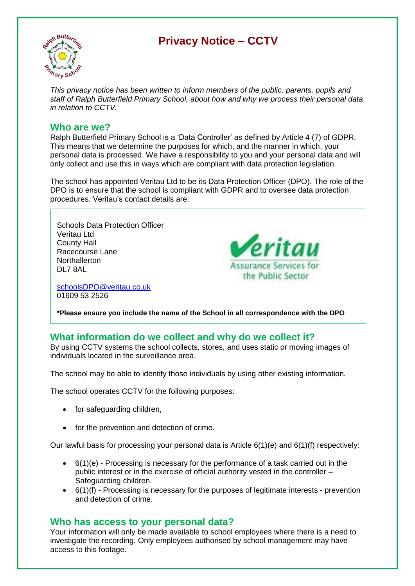# **Privacy Notice – CCTV**



*This privacy notice has been written to inform members of the public, parents, pupils and staff of Ralph Butterfield Primary School, about how and why we process their personal data in relation to CCTV.*

### **Who are we?**

Ralph Butterfield Primary School is a 'Data Controller' as defined by Article 4 (7) of GDPR. This means that we determine the purposes for which, and the manner in which, your personal data is processed. We have a responsibility to you and your personal data and will only collect and use this in ways which are compliant with data protection legislation.

The school has appointed Veritau Ltd to be its Data Protection Officer (DPO). The role of the DPO is to ensure that the school is compliant with GDPR and to oversee data protection procedures. Veritau's contact details are:

Schools Data Protection Officer Veritau Ltd County Hall Racecourse Lane **Northallerton** DL7 8AL

[schoolsDPO@veritau.co.uk](mailto:schoolsDPO@veritau.co.uk) 01609 53 2526



**\*Please ensure you include the name of the School in all correspondence with the DPO** 

## **What information do we collect and why do we collect it?**

By using CCTV systems the school collects, stores, and uses static or moving images of individuals located in the surveillance area.

The school may be able to identify those individuals by using other existing information.

The school operates CCTV for the following purposes:

- for safeguarding children,
- for the prevention and detection of crime.

Our lawful basis for processing your personal data is Article 6(1)(e) and 6(1)(f) respectively:

- $\bullet$  6(1)(e) Processing is necessary for the performance of a task carried out in the public interest or in the exercise of official authority vested in the controller – Safeguarding children.
- 6(1)(f) Processing is necessary for the purposes of legitimate interests prevention and detection of crime.

## **Who has access to your personal data?**

Your information will only be made available to school employees where there is a need to investigate the recording. Only employees authorised by school management may have access to this footage.